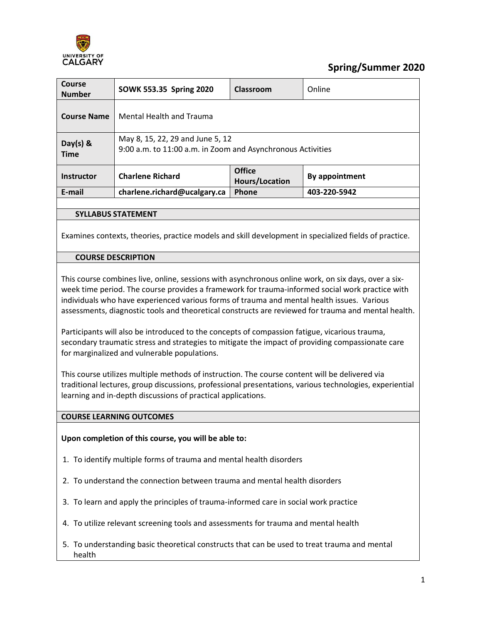

# **Spring/Summer 2020**

| <b>Course</b><br><b>Number</b> | SOWK 553.35 Spring 2020                                                                         | Classroom                       | Online         |  |
|--------------------------------|-------------------------------------------------------------------------------------------------|---------------------------------|----------------|--|
| <b>Course Name</b>             | <b>Mental Health and Trauma</b>                                                                 |                                 |                |  |
| Day(s) $8$<br><b>Time</b>      | May 8, 15, 22, 29 and June 5, 12<br>9:00 a.m. to 11:00 a.m. in Zoom and Asynchronous Activities |                                 |                |  |
| <b>Instructor</b>              | <b>Charlene Richard</b>                                                                         | <b>Office</b><br>Hours/Location | By appointment |  |
| E-mail                         | charlene.richard@ucalgary.ca                                                                    | Phone                           | 403-220-5942   |  |
|                                |                                                                                                 |                                 |                |  |

### **SYLLABUS STATEMENT**

Examines contexts, theories, practice models and skill development in specialized fields of practice.

### **COURSE DESCRIPTION**

This course combines live, online, sessions with asynchronous online work, on six days, over a sixweek time period. The course provides a framework for trauma-informed social work practice with individuals who have experienced various forms of trauma and mental health issues. Various assessments, diagnostic tools and theoretical constructs are reviewed for trauma and mental health.

Participants will also be introduced to the concepts of compassion fatigue, vicarious trauma, secondary traumatic stress and strategies to mitigate the impact of providing compassionate care for marginalized and vulnerable populations.

This course utilizes multiple methods of instruction. The course content will be delivered via traditional lectures, group discussions, professional presentations, various technologies, experiential learning and in-depth discussions of practical applications.

#### **COURSE LEARNING OUTCOMES**

#### **Upon completion of this course, you will be able to:**

- 1. To identify multiple forms of trauma and mental health disorders
- 2. To understand the connection between trauma and mental health disorders
- 3. To learn and apply the principles of trauma-informed care in social work practice
- 4. To utilize relevant screening tools and assessments for trauma and mental health
- 5. To understanding basic theoretical constructs that can be used to treat trauma and mental health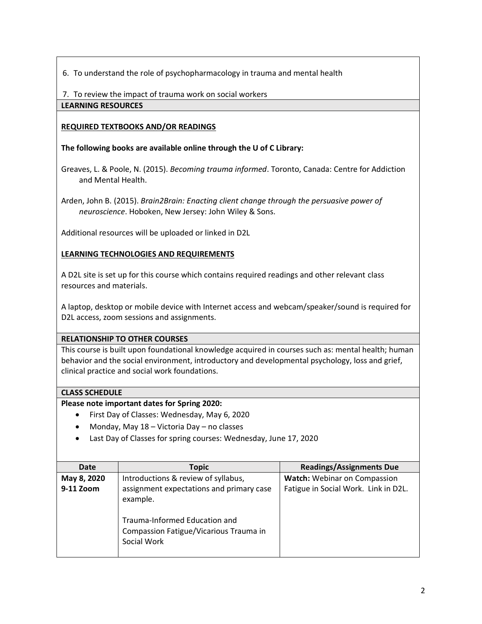6. To understand the role of psychopharmacology in trauma and mental health

7. To review the impact of trauma work on social workers

### **LEARNING RESOURCES**

### **REQUIRED TEXTBOOKS AND/OR READINGS**

### **The following books are available online through the U of C Library:**

Greaves, L. & Poole, N. (2015). *Becoming trauma informed*. Toronto, Canada: Centre for Addiction and Mental Health.

Arden, John B. (2015). *Brain2Brain: Enacting client change through the persuasive power of neuroscience*. Hoboken, New Jersey: John Wiley & Sons.

Additional resources will be uploaded or linked in D2L

### **LEARNING TECHNOLOGIES AND REQUIREMENTS**

A D2L site is set up for this course which contains required readings and other relevant class resources and materials.

A laptop, desktop or mobile device with Internet access and webcam/speaker/sound is required for D2L access, zoom sessions and assignments.

### **RELATIONSHIP TO OTHER COURSES**

This course is built upon foundational knowledge acquired in courses such as: mental health; human behavior and the social environment, introductory and developmental psychology, loss and grief, clinical practice and social work foundations.

### **CLASS SCHEDULE**

### **Please note important dates for Spring 2020:**

- First Day of Classes: Wednesday, May 6, 2020
- Monday, May 18 Victoria Day no classes
- Last Day of Classes for spring courses: Wednesday, June 17, 2020

| <b>Date</b> | <b>Topic</b>                                                                                                                                   | <b>Readings/Assignments Due</b>      |
|-------------|------------------------------------------------------------------------------------------------------------------------------------------------|--------------------------------------|
| May 8, 2020 | Introductions & review of syllabus,                                                                                                            | <b>Watch:</b> Webinar on Compassion  |
| 9-11 Zoom   | assignment expectations and primary case<br>example.<br>Trauma-Informed Education and<br>Compassion Fatigue/Vicarious Trauma in<br>Social Work | Fatigue in Social Work. Link in D2L. |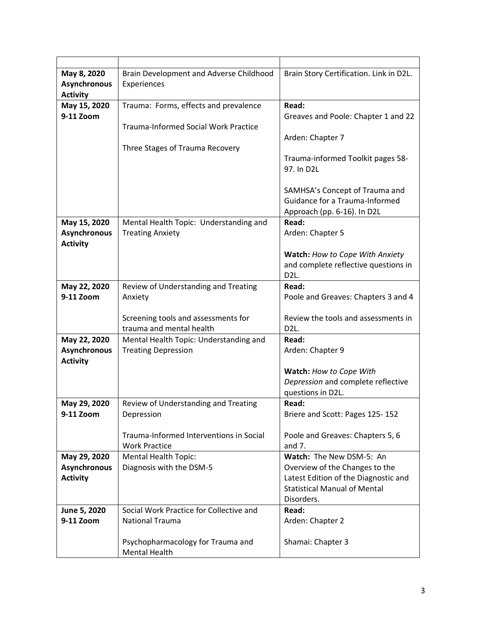| May 8, 2020         | Brain Development and Adverse Childhood                         | Brain Story Certification. Link in D2L.                                     |  |
|---------------------|-----------------------------------------------------------------|-----------------------------------------------------------------------------|--|
| <b>Asynchronous</b> | Experiences                                                     |                                                                             |  |
| <b>Activity</b>     |                                                                 |                                                                             |  |
| May 15, 2020        | Trauma: Forms, effects and prevalence                           | Read:                                                                       |  |
| 9-11 Zoom           |                                                                 | Greaves and Poole: Chapter 1 and 22                                         |  |
|                     | <b>Trauma-Informed Social Work Practice</b>                     |                                                                             |  |
|                     |                                                                 | Arden: Chapter 7                                                            |  |
|                     | Three Stages of Trauma Recovery                                 |                                                                             |  |
|                     |                                                                 | Trauma-informed Toolkit pages 58-<br>97. In D2L                             |  |
|                     |                                                                 |                                                                             |  |
|                     |                                                                 | SAMHSA's Concept of Trauma and                                              |  |
|                     |                                                                 | Guidance for a Trauma-Informed                                              |  |
|                     |                                                                 | Approach (pp. 6-16). In D2L                                                 |  |
| May 15, 2020        | Mental Health Topic: Understanding and                          | Read:                                                                       |  |
| <b>Asynchronous</b> | <b>Treating Anxiety</b>                                         | Arden: Chapter 5                                                            |  |
| <b>Activity</b>     |                                                                 |                                                                             |  |
|                     |                                                                 | Watch: How to Cope With Anxiety                                             |  |
|                     |                                                                 | and complete reflective questions in                                        |  |
|                     |                                                                 | D <sub>2L</sub>                                                             |  |
| May 22, 2020        | Review of Understanding and Treating                            | Read:                                                                       |  |
| 9-11 Zoom           | Anxiety                                                         | Poole and Greaves: Chapters 3 and 4                                         |  |
|                     |                                                                 |                                                                             |  |
|                     | Screening tools and assessments for<br>trauma and mental health | Review the tools and assessments in<br>D <sub>2</sub> L.                    |  |
| May 22, 2020        | Mental Health Topic: Understanding and                          | Read:                                                                       |  |
| <b>Asynchronous</b> | <b>Treating Depression</b>                                      | Arden: Chapter 9                                                            |  |
| <b>Activity</b>     |                                                                 |                                                                             |  |
|                     |                                                                 | Watch: How to Cope With                                                     |  |
|                     |                                                                 | Depression and complete reflective                                          |  |
|                     |                                                                 | questions in D2L.                                                           |  |
| May 29, 2020        | Review of Understanding and Treating                            | Read:                                                                       |  |
| 9-11 Zoom           | Depression                                                      | Briere and Scott: Pages 125-152                                             |  |
|                     |                                                                 |                                                                             |  |
|                     | Trauma-Informed Interventions in Social                         | Poole and Greaves: Chapters 5, 6                                            |  |
|                     | <b>Work Practice</b>                                            | and $7.$                                                                    |  |
| May 29, 2020        | <b>Mental Health Topic:</b>                                     | Watch: The New DSM-5: An                                                    |  |
| <b>Asynchronous</b> | Diagnosis with the DSM-5                                        | Overview of the Changes to the                                              |  |
| <b>Activity</b>     |                                                                 | Latest Edition of the Diagnostic and<br><b>Statistical Manual of Mental</b> |  |
|                     |                                                                 | Disorders.                                                                  |  |
| June 5, 2020        | Social Work Practice for Collective and                         | Read:                                                                       |  |
| 9-11 Zoom           | <b>National Trauma</b>                                          | Arden: Chapter 2                                                            |  |
|                     |                                                                 |                                                                             |  |
|                     | Psychopharmacology for Trauma and                               | Shamai: Chapter 3                                                           |  |
|                     | <b>Mental Health</b>                                            |                                                                             |  |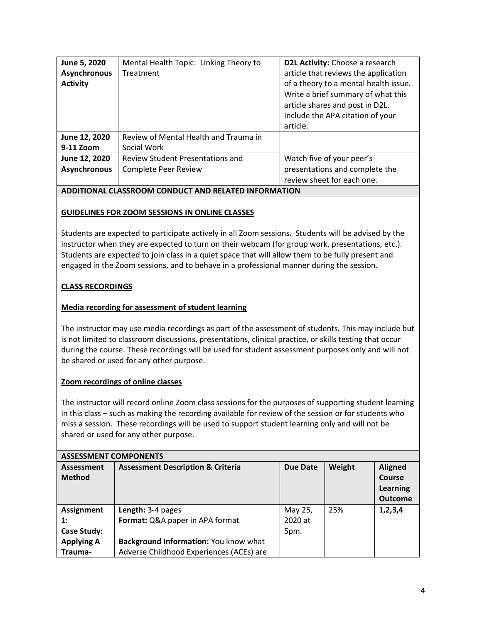| June 5, 2020<br><b>Asynchronous</b><br><b>Activity</b> | Mental Health Topic: Linking Theory to<br>Treatment  | D2L Activity: Choose a research<br>article that reviews the application<br>of a theory to a mental health issue.<br>Write a brief summary of what this<br>article shares and post in D2L.<br>Include the APA citation of your<br>article. |
|--------------------------------------------------------|------------------------------------------------------|-------------------------------------------------------------------------------------------------------------------------------------------------------------------------------------------------------------------------------------------|
| June 12, 2020                                          | Review of Mental Health and Trauma in                |                                                                                                                                                                                                                                           |
| 9-11 Zoom                                              | Social Work                                          |                                                                                                                                                                                                                                           |
| June 12, 2020                                          | <b>Review Student Presentations and</b>              | Watch five of your peer's                                                                                                                                                                                                                 |
| <b>Asynchronous</b>                                    | Complete Peer Review                                 | presentations and complete the                                                                                                                                                                                                            |
|                                                        |                                                      | review sheet for each one.                                                                                                                                                                                                                |
|                                                        | ADDITIONAL CLASSROOM CONDUCT AND RELATED INFORMATION |                                                                                                                                                                                                                                           |

# **GUIDELINES FOR ZOOM SESSIONS IN ONLINE CLASSES**

Students are expected to participate actively in all Zoom sessions. Students will be advised by the instructor when they are expected to turn on their webcam (for group work, presentations, etc.). Students are expected to join class in a quiet space that will allow them to be fully present and engaged in the Zoom sessions, and to behave in a professional manner during the session.

### **CLASS RECORDINGS**

### **Media recording for assessment of student learning**

The instructor may use media recordings as part of the assessment of students. This may include but is not limited to classroom discussions, presentations, clinical practice, or skills testing that occur during the course. These recordings will be used for student assessment purposes only and will not be shared or used for any other purpose.

### **Zoom recordings of online classes**

The instructor will record online Zoom class sessions for the purposes of supporting student learning in this class – such as making the recording available for review of the session or for students who miss a session. These recordings will be used to support student learning only and will not be shared or used for any other purpose.

| <b>ASSESSMENT COMPONENTS</b>       |                                              |                 |        |                                                        |  |
|------------------------------------|----------------------------------------------|-----------------|--------|--------------------------------------------------------|--|
| <b>Assessment</b><br><b>Method</b> | <b>Assessment Description &amp; Criteria</b> | <b>Due Date</b> | Weight | <b>Aligned</b><br>Course<br>Learning<br><b>Outcome</b> |  |
| Assignment                         | Length: 3-4 pages                            | May 25,         | 25%    | 1, 2, 3, 4                                             |  |
| 1:                                 | Format: Q&A paper in APA format              | 2020 at         |        |                                                        |  |
| Case Study:                        |                                              | 5pm.            |        |                                                        |  |
| <b>Applying A</b>                  | Background Information: You know what        |                 |        |                                                        |  |
| Trauma-                            | Adverse Childhood Experiences (ACEs) are     |                 |        |                                                        |  |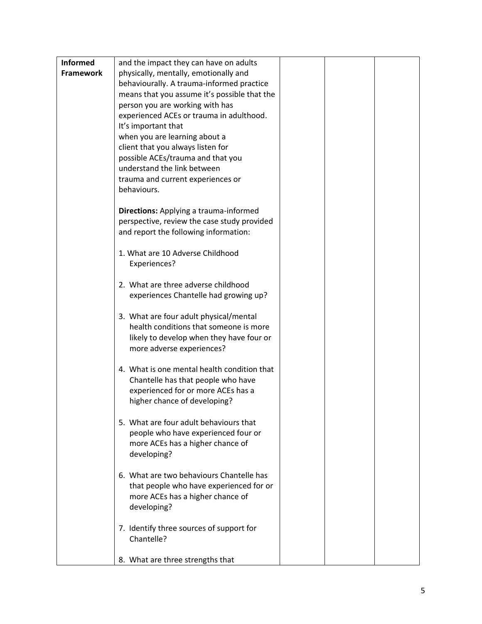| <b>Informed</b>  | and the impact they can have on adults        |  |  |
|------------------|-----------------------------------------------|--|--|
| <b>Framework</b> | physically, mentally, emotionally and         |  |  |
|                  | behaviourally. A trauma-informed practice     |  |  |
|                  | means that you assume it's possible that the  |  |  |
|                  | person you are working with has               |  |  |
|                  | experienced ACEs or trauma in adulthood.      |  |  |
|                  | It's important that                           |  |  |
|                  | when you are learning about a                 |  |  |
|                  | client that you always listen for             |  |  |
|                  | possible ACEs/trauma and that you             |  |  |
|                  | understand the link between                   |  |  |
|                  | trauma and current experiences or             |  |  |
|                  | behaviours.                                   |  |  |
|                  | <b>Directions:</b> Applying a trauma-informed |  |  |
|                  | perspective, review the case study provided   |  |  |
|                  | and report the following information:         |  |  |
|                  |                                               |  |  |
|                  | 1. What are 10 Adverse Childhood              |  |  |
|                  | Experiences?                                  |  |  |
|                  |                                               |  |  |
|                  | 2. What are three adverse childhood           |  |  |
|                  | experiences Chantelle had growing up?         |  |  |
|                  | 3. What are four adult physical/mental        |  |  |
|                  | health conditions that someone is more        |  |  |
|                  | likely to develop when they have four or      |  |  |
|                  | more adverse experiences?                     |  |  |
|                  |                                               |  |  |
|                  | 4. What is one mental health condition that   |  |  |
|                  | Chantelle has that people who have            |  |  |
|                  | experienced for or more ACEs has a            |  |  |
|                  | higher chance of developing?                  |  |  |
|                  | 5. What are four adult behaviours that        |  |  |
|                  | people who have experienced four or           |  |  |
|                  | more ACEs has a higher chance of              |  |  |
|                  | developing?                                   |  |  |
|                  |                                               |  |  |
|                  | 6. What are two behaviours Chantelle has      |  |  |
|                  | that people who have experienced for or       |  |  |
|                  | more ACEs has a higher chance of              |  |  |
|                  | developing?                                   |  |  |
|                  | 7. Identify three sources of support for      |  |  |
|                  | Chantelle?                                    |  |  |
|                  |                                               |  |  |
|                  | 8. What are three strengths that              |  |  |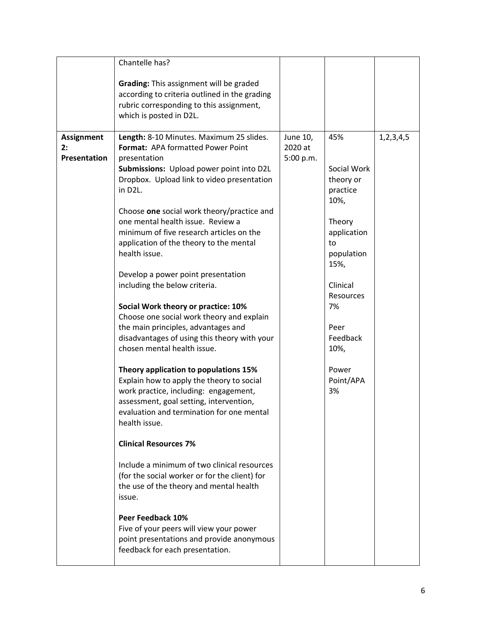|                                                | Chantelle has?                                                                                                                                                                                                                                                                                                                                                                                                                                                                                                                                                                                                                                                                                                                                                                                                                                                                                                                                                                                                                                                                                                                                                                                                                                              |                                  |                                                                                                                                                                                                 |               |
|------------------------------------------------|-------------------------------------------------------------------------------------------------------------------------------------------------------------------------------------------------------------------------------------------------------------------------------------------------------------------------------------------------------------------------------------------------------------------------------------------------------------------------------------------------------------------------------------------------------------------------------------------------------------------------------------------------------------------------------------------------------------------------------------------------------------------------------------------------------------------------------------------------------------------------------------------------------------------------------------------------------------------------------------------------------------------------------------------------------------------------------------------------------------------------------------------------------------------------------------------------------------------------------------------------------------|----------------------------------|-------------------------------------------------------------------------------------------------------------------------------------------------------------------------------------------------|---------------|
|                                                | Grading: This assignment will be graded<br>according to criteria outlined in the grading<br>rubric corresponding to this assignment,<br>which is posted in D2L.                                                                                                                                                                                                                                                                                                                                                                                                                                                                                                                                                                                                                                                                                                                                                                                                                                                                                                                                                                                                                                                                                             |                                  |                                                                                                                                                                                                 |               |
| <b>Assignment</b><br>2:<br><b>Presentation</b> | Length: 8-10 Minutes. Maximum 25 slides.<br>Format: APA formatted Power Point<br>presentation<br>Submissions: Upload power point into D2L<br>Dropbox. Upload link to video presentation<br>in D2L.<br>Choose one social work theory/practice and<br>one mental health issue. Review a<br>minimum of five research articles on the<br>application of the theory to the mental<br>health issue.<br>Develop a power point presentation<br>including the below criteria.<br>Social Work theory or practice: 10%<br>Choose one social work theory and explain<br>the main principles, advantages and<br>disadvantages of using this theory with your<br>chosen mental health issue.<br>Theory application to populations 15%<br>Explain how to apply the theory to social<br>work practice, including: engagement,<br>assessment, goal setting, intervention,<br>evaluation and termination for one mental<br>health issue.<br><b>Clinical Resources 7%</b><br>Include a minimum of two clinical resources<br>(for the social worker or for the client) for<br>the use of the theory and mental health<br>issue.<br>Peer Feedback 10%<br>Five of your peers will view your power<br>point presentations and provide anonymous<br>feedback for each presentation. | June 10,<br>2020 at<br>5:00 p.m. | 45%<br>Social Work<br>theory or<br>practice<br>10%,<br>Theory<br>application<br>to<br>population<br>15%,<br>Clinical<br>Resources<br>7%<br>Peer<br>Feedback<br>10%,<br>Power<br>Point/APA<br>3% | 1, 2, 3, 4, 5 |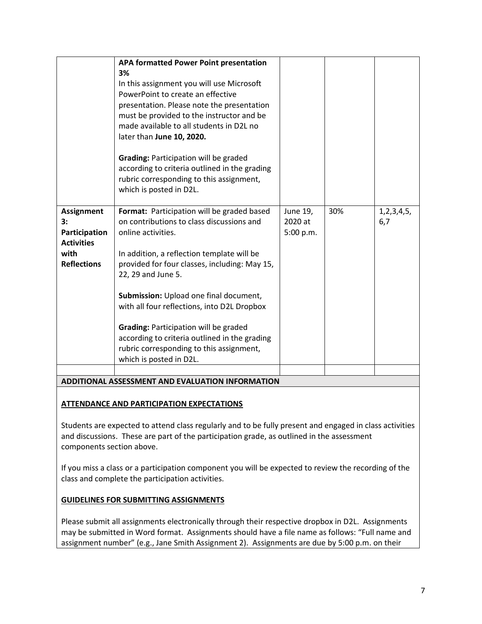|                                                                                             | APA formatted Power Point presentation<br>3%<br>In this assignment you will use Microsoft<br>PowerPoint to create an effective<br>presentation. Please note the presentation<br>must be provided to the instructor and be<br>made available to all students in D2L no<br>later than June 10, 2020.<br>Grading: Participation will be graded<br>according to criteria outlined in the grading<br>rubric corresponding to this assignment,<br>which is posted in D2L.                          |                                  |     |                       |
|---------------------------------------------------------------------------------------------|----------------------------------------------------------------------------------------------------------------------------------------------------------------------------------------------------------------------------------------------------------------------------------------------------------------------------------------------------------------------------------------------------------------------------------------------------------------------------------------------|----------------------------------|-----|-----------------------|
| <b>Assignment</b><br>3:<br>Participation<br><b>Activities</b><br>with<br><b>Reflections</b> | Format: Participation will be graded based<br>on contributions to class discussions and<br>online activities.<br>In addition, a reflection template will be<br>provided for four classes, including: May 15,<br>22, 29 and June 5.<br>Submission: Upload one final document,<br>with all four reflections, into D2L Dropbox<br>Grading: Participation will be graded<br>according to criteria outlined in the grading<br>rubric corresponding to this assignment,<br>which is posted in D2L. | June 19,<br>2020 at<br>5:00 p.m. | 30% | 1, 2, 3, 4, 5,<br>6,7 |
|                                                                                             | ADDITIONAL ACCECCNIENT AND EVALUATION INFORMATION                                                                                                                                                                                                                                                                                                                                                                                                                                            |                                  |     |                       |

## **ADDITIONAL ASSESSMENT AND EVALUATION INFORMATION**

## **ATTENDANCE AND PARTICIPATION EXPECTATIONS**

Students are expected to attend class regularly and to be fully present and engaged in class activities and discussions. These are part of the participation grade, as outlined in the assessment components section above.

If you miss a class or a participation component you will be expected to review the recording of the class and complete the participation activities.

### **GUIDELINES FOR SUBMITTING ASSIGNMENTS**

Please submit all assignments electronically through their respective dropbox in D2L. Assignments may be submitted in Word format. Assignments should have a file name as follows: "Full name and assignment number" (e.g., Jane Smith Assignment 2). Assignments are due by 5:00 p.m. on their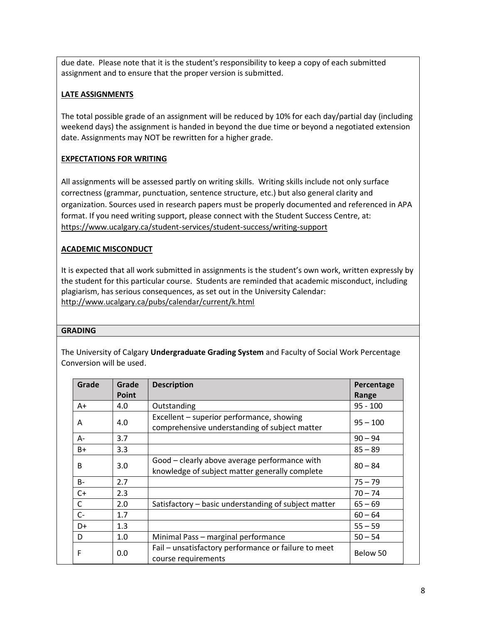due date. Please note that it is the student's responsibility to keep a copy of each submitted assignment and to ensure that the proper version is submitted.

# **LATE ASSIGNMENTS**

The total possible grade of an assignment will be reduced by 10% for each day/partial day (including weekend days) the assignment is handed in beyond the due time or beyond a negotiated extension date. Assignments may NOT be rewritten for a higher grade.

# **EXPECTATIONS FOR WRITING**

All assignments will be assessed partly on writing skills. Writing skills include not only surface correctness (grammar, punctuation, sentence structure, etc.) but also general clarity and organization. Sources used in research papers must be properly documented and referenced in APA format. If you need writing support, please connect with the Student Success Centre, at: <https://www.ucalgary.ca/student-services/student-success/writing-support>

## **ACADEMIC MISCONDUCT**

It is expected that all work submitted in assignments is the student's own work, written expressly by the student for this particular course. Students are reminded that academic misconduct, including plagiarism, has serious consequences, as set out in the University Calendar: <http://www.ucalgary.ca/pubs/calendar/current/k.html>

## **GRADING**

The University of Calgary **Undergraduate Grading System** and Faculty of Social Work Percentage Conversion will be used.

| Grade        | Grade | <b>Description</b>                                                                              | Percentage |
|--------------|-------|-------------------------------------------------------------------------------------------------|------------|
|              | Point |                                                                                                 | Range      |
| $A+$         | 4.0   | Outstanding                                                                                     | $95 - 100$ |
| Α            | 4.0   | Excellent – superior performance, showing<br>comprehensive understanding of subject matter      | $95 - 100$ |
| $A -$        | 3.7   |                                                                                                 | $90 - 94$  |
| B+           | 3.3   |                                                                                                 | $85 - 89$  |
| <sub>R</sub> | 3.0   | Good - clearly above average performance with<br>knowledge of subject matter generally complete | $80 - 84$  |
| $B -$        | 2.7   |                                                                                                 | $75 - 79$  |
| $C+$         | 2.3   |                                                                                                 | $70 - 74$  |
| $\mathsf{C}$ | 2.0   | Satisfactory – basic understanding of subject matter                                            | $65 - 69$  |
| $C-$         | 1.7   |                                                                                                 | $60 - 64$  |
| D+           | 1.3   |                                                                                                 | $55 - 59$  |
| D            | 1.0   | Minimal Pass - marginal performance                                                             | $50 - 54$  |
| F            | 0.0   | Fail - unsatisfactory performance or failure to meet<br>course requirements                     | Below 50   |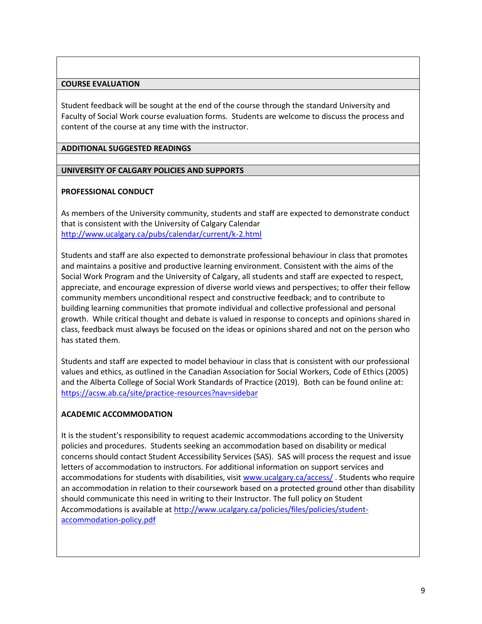#### **COURSE EVALUATION**

Student feedback will be sought at the end of the course through the standard University and Faculty of Social Work course evaluation forms. Students are welcome to discuss the process and content of the course at any time with the instructor.

#### **ADDITIONAL SUGGESTED READINGS**

#### **UNIVERSITY OF CALGARY POLICIES AND SUPPORTS**

#### **PROFESSIONAL CONDUCT**

As members of the University community, students and staff are expected to demonstrate conduct that is consistent with the University of Calgary Calendar <http://www.ucalgary.ca/pubs/calendar/current/k-2.html>

Students and staff are also expected to demonstrate professional behaviour in class that promotes and maintains a positive and productive learning environment. Consistent with the aims of the Social Work Program and the University of Calgary, all students and staff are expected to respect, appreciate, and encourage expression of diverse world views and perspectives; to offer their fellow community members unconditional respect and constructive feedback; and to contribute to building learning communities that promote individual and collective professional and personal growth. While critical thought and debate is valued in response to concepts and opinions shared in class, feedback must always be focused on the ideas or opinions shared and not on the person who has stated them.

Students and staff are expected to model behaviour in class that is consistent with our professional values and ethics, as outlined in the Canadian Association for Social Workers, Code of Ethics (2005) and the Alberta College of Social Work Standards of Practice (2019). Both can be found online at: <https://acsw.ab.ca/site/practice-resources?nav=sidebar>

### **ACADEMIC ACCOMMODATION**

It is the student's responsibility to request academic accommodations according to the University policies and procedures. Students seeking an accommodation based on disability or medical concerns should contact Student Accessibility Services (SAS). SAS will process the request and issue letters of accommodation to instructors. For additional information on support services and accommodations for students with disabilities, visit [www.ucalgary.ca/access/](http://www.ucalgary.ca/access/) . Students who require an accommodation in relation to their coursework based on a protected ground other than disability should communicate this need in writing to their Instructor. The full policy on Student Accommodations is available at [http://www.ucalgary.ca/policies/files/policies/student](http://www.ucalgary.ca/policies/files/policies/student-accommodation-policy.pdf)[accommodation-policy.pdf](http://www.ucalgary.ca/policies/files/policies/student-accommodation-policy.pdf)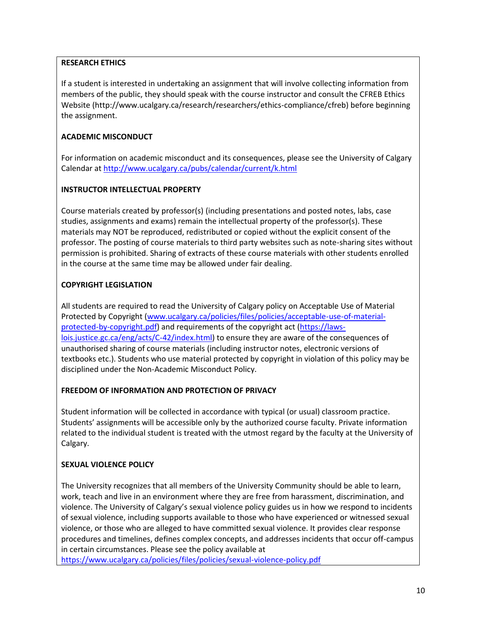## **RESEARCH ETHICS**

If a student is interested in undertaking an assignment that will involve collecting information from members of the public, they should speak with the course instructor and consult the CFREB Ethics Website [\(http://www.ucalgary.ca/research/researchers/ethics-compliance/cfreb\)](http://www.ucalgary.ca/research/researchers/ethics-compliance/cfreb) before beginning the assignment.

## **ACADEMIC MISCONDUCT**

For information on academic misconduct and its consequences, please see the University of Calgary Calendar at<http://www.ucalgary.ca/pubs/calendar/current/k.html>

### **INSTRUCTOR INTELLECTUAL PROPERTY**

Course materials created by professor(s) (including presentations and posted notes, labs, case studies, assignments and exams) remain the intellectual property of the professor(s). These materials may NOT be reproduced, redistributed or copied without the explicit consent of the professor. The posting of course materials to third party websites such as note-sharing sites without permission is prohibited. Sharing of extracts of these course materials with other students enrolled in the course at the same time may be allowed under fair dealing.

## **COPYRIGHT LEGISLATION**

All students are required to read the University of Calgary policy on Acceptable Use of Material Protected by Copyright [\(www.ucalgary.ca/policies/files/policies/acceptable-use-of-material](http://www.ucalgary.ca/policies/files/policies/acceptable-use-of-material-protected-by-copyright.pdf)[protected-by-copyright.pdf\)](http://www.ucalgary.ca/policies/files/policies/acceptable-use-of-material-protected-by-copyright.pdf) and requirements of the copyright act [\(https://laws](https://laws-lois.justice.gc.ca/eng/acts/C-42/index.html)[lois.justice.gc.ca/eng/acts/C-42/index.html\)](https://laws-lois.justice.gc.ca/eng/acts/C-42/index.html) to ensure they are aware of the consequences of unauthorised sharing of course materials (including instructor notes, electronic versions of textbooks etc.). Students who use material protected by copyright in violation of this policy may be disciplined under the Non-Academic Misconduct Policy.

## **FREEDOM OF INFORMATION AND PROTECTION OF PRIVACY**

Student information will be collected in accordance with typical (or usual) classroom practice. Students' assignments will be accessible only by the authorized course faculty. Private information related to the individual student is treated with the utmost regard by the faculty at the University of Calgary.

## **SEXUAL VIOLENCE POLICY**

The University recognizes that all members of the University Community should be able to learn, work, teach and live in an environment where they are free from harassment, discrimination, and violence. The University of Calgary's sexual violence policy guides us in how we respond to incidents of sexual violence, including supports available to those who have experienced or witnessed sexual violence, or those who are alleged to have committed sexual violence. It provides clear response procedures and timelines, defines complex concepts, and addresses incidents that occur off-campus in certain circumstances. Please see the policy available at

<https://www.ucalgary.ca/policies/files/policies/sexual-violence-policy.pdf>